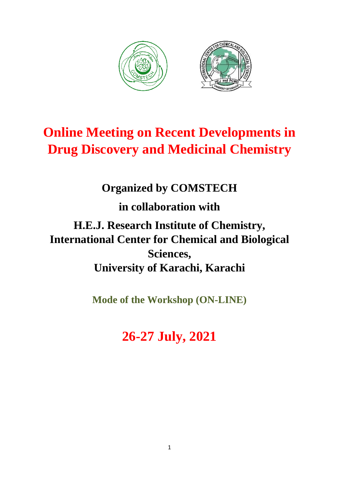

# **Online Meeting on Recent Developments in Drug Discovery and Medicinal Chemistry**

# **Organized by COMSTECH**

**in collaboration with** 

**H.E.J. Research Institute of Chemistry, International Center for Chemical and Biological Sciences, University of Karachi, Karachi**

**Mode of the Workshop (ON-LINE)** 

# **26-27 July, 2021**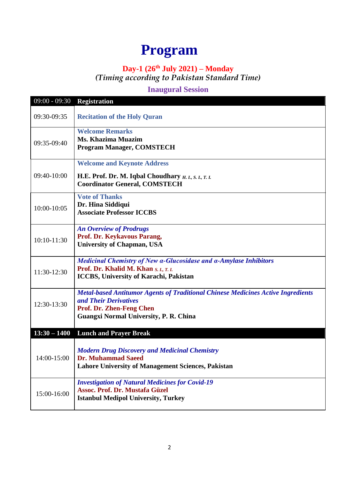# **Program**

# **Day-1 (26th July 2021) – Monday**

*(Timing according to Pakistan Standard Time)*

## **Inaugural Session**

| $09:00 - 09:30$ | <b>Registration</b>                                                                                                                                                                           |
|-----------------|-----------------------------------------------------------------------------------------------------------------------------------------------------------------------------------------------|
| 09:30-09:35     | <b>Recitation of the Holy Quran</b>                                                                                                                                                           |
| 09:35-09:40     | <b>Welcome Remarks</b><br>Ms. Khazima Muazim<br><b>Program Manager, COMSTECH</b>                                                                                                              |
| 09:40-10:00     | <b>Welcome and Keynote Address</b><br>H.E. Prof. Dr. M. Iqbal Choudhary $H, I, S, I, T, I$ .<br><b>Coordinator General, COMSTECH</b>                                                          |
| 10:00-10:05     | <b>Vote of Thanks</b><br>Dr. Hina Siddiqui<br><b>Associate Professor ICCBS</b>                                                                                                                |
| 10:10-11:30     | <b>An Overview of Prodrugs</b><br>Prof. Dr. Keykavous Parang,<br><b>University of Chapman, USA</b>                                                                                            |
| 11:30-12:30     | Medicinal Chemistry of New a-Glucosidase and a-Amylase Inhibitors<br>Prof. Dr. Khalid M. Khan S. I., T. I.<br>ICCBS, University of Karachi, Pakistan                                          |
| 12:30-13:30     | <b>Metal-based Antitumor Agents of Traditional Chinese Medicines Active Ingredients</b><br>and Their Derivatives<br>Prof. Dr. Zhen-Feng Chen<br><b>Guangxi Normal University, P. R. China</b> |
| $13:30 - 1400$  | <b>Lunch and Prayer Break</b>                                                                                                                                                                 |
| 14:00-15:00     | <b>Modern Drug Discovery and Medicinal Chemistry</b><br><b>Dr. Muhammad Saeed</b><br><b>Lahore University of Management Sciences, Pakistan</b>                                                |
| 15:00-16:00     | <b>Investigation of Natural Medicines for Covid-19</b><br><b>Assoc. Prof. Dr. Mustafa Güzel</b><br><b>Istanbul Medipol University, Turkey</b>                                                 |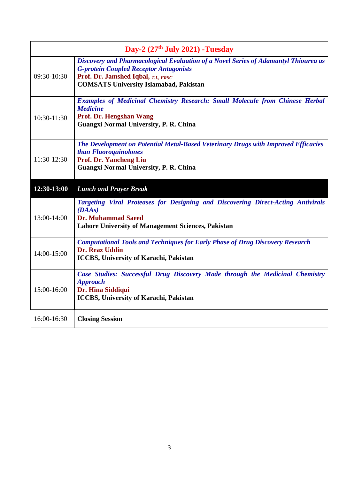| Day-2 $(27th$ July 2021) -Tuesday |                                                                                                                                                                                                                              |  |
|-----------------------------------|------------------------------------------------------------------------------------------------------------------------------------------------------------------------------------------------------------------------------|--|
| 09:30-10:30                       | Discovery and Pharmacological Evaluation of a Novel Series of Adamantyl Thiourea as<br><b>G-protein Coupled Receptor Antagonists</b><br>Prof. Dr. Jamshed Iqbal, T.I., FRSC<br><b>COMSATS University Islamabad, Pakistan</b> |  |
| 10:30-11:30                       | <b>Examples of Medicinal Chemistry Research: Small Molecule from Chinese Herbal</b><br><b>Medicine</b><br>Prof. Dr. Hengshan Wang<br><b>Guangxi Normal University, P. R. China</b>                                           |  |
| 11:30-12:30                       | The Development on Potential Metal-Based Veterinary Drugs with Improved Efficacies<br>than Fluoroquinolones<br>Prof. Dr. Yancheng Liu<br>Guangxi Normal University, P. R. China                                              |  |
| 12:30-13:00                       | <b>Lunch and Prayer Break</b>                                                                                                                                                                                                |  |
| 13:00-14:00                       | Targeting Viral Proteases for Designing and Discovering Direct-Acting Antivirals<br>(DAAs)<br><b>Dr. Muhammad Saeed</b><br><b>Lahore University of Management Sciences, Pakistan</b>                                         |  |
| 14:00-15:00                       | <b>Computational Tools and Techniques for Early Phase of Drug Discovery Research</b><br><b>Dr. Reaz Uddin</b><br><b>ICCBS, University of Karachi, Pakistan</b>                                                               |  |
| 15:00-16:00                       | Case Studies: Successful Drug Discovery Made through the Medicinal Chemistry<br><b>Approach</b><br>Dr. Hina Siddiqui<br>ICCBS, University of Karachi, Pakistan                                                               |  |
| 16:00-16:30                       | <b>Closing Session</b>                                                                                                                                                                                                       |  |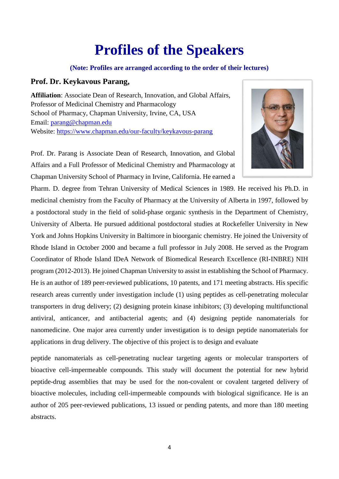# **Profiles of the Speakers**

#### **(Note: Profiles are arranged according to the order of their lectures)**

### **Prof. Dr. Keykavous Parang,**

**Affiliation**: Associate Dean of Research, Innovation, and Global Affairs, Professor of Medicinal Chemistry and Pharmacology School of Pharmacy, Chapman University, Irvine, CA, USA Email: [parang@chapman.edu](mailto:parang@chapman.edu) Website:<https://www.chapman.edu/our-faculty/keykavous-parang>



Prof. Dr. Parang is Associate Dean of Research, Innovation, and Global Affairs and a Full Professor of Medicinal Chemistry and Pharmacology at Chapman University School of Pharmacy in Irvine, California. He earned a

Pharm. D. degree from Tehran University of Medical Sciences in 1989. He received his Ph.D. in medicinal chemistry from the Faculty of Pharmacy at the University of Alberta in 1997, followed by a postdoctoral study in the field of solid-phase organic synthesis in the Department of Chemistry, University of Alberta. He pursued additional postdoctoral studies at Rockefeller University in New York and Johns Hopkins University in Baltimore in bioorganic chemistry. He joined the University of Rhode Island in October 2000 and became a full professor in July 2008. He served as the Program Coordinator of Rhode Island IDeA Network of Biomedical Research Excellence (RI-INBRE) NIH program (2012-2013). He joined Chapman University to assist in establishing the School of Pharmacy. He is an author of 189 peer-reviewed publications, 10 patents, and 171 meeting abstracts. His specific research areas currently under investigation include (1) using peptides as cell-penetrating molecular transporters in drug delivery; (2) designing protein kinase inhibitors; (3) developing multifunctional antiviral, anticancer, and antibacterial agents; and (4) designing peptide nanomaterials for nanomedicine. One major area currently under investigation is to design peptide nanomaterials for applications in drug delivery. The objective of this project is to design and evaluate

peptide nanomaterials as cell-penetrating nuclear targeting agents or molecular transporters of bioactive cell-impermeable compounds. This study will document the potential for new hybrid peptide-drug assemblies that may be used for the non-covalent or covalent targeted delivery of bioactive molecules, including cell-impermeable compounds with biological significance. He is an author of 205 peer-reviewed publications, 13 issued or pending patents, and more than 180 meeting abstracts.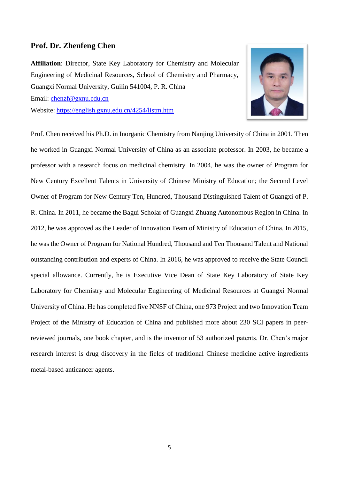#### **Prof. Dr. Zhenfeng Chen**

**Affiliation**: Director, State Key Laboratory for Chemistry and Molecular Engineering of Medicinal Resources, School of Chemistry and Pharmacy, Guangxi Normal University, Guilin 541004, P. R. China Email: [chenzf@gxnu.edu.cn](mailto:chenzf@gxnu.edu.cn) Website: <https://english.gxnu.edu.cn/4254/listm.htm>



Prof. Chen received his Ph.D. in Inorganic Chemistry from Nanjing University of China in 2001. Then he worked in Guangxi Normal University of China as an associate professor. In 2003, he became a professor with a research focus on medicinal chemistry. In 2004, he was the owner of Program for New Century Excellent Talents in University of Chinese Ministry of Education; the Second Level Owner of Program for New Century Ten, Hundred, Thousand Distinguished Talent of Guangxi of P. R. China. In 2011, he became the Bagui Scholar of Guangxi Zhuang Autonomous Region in China. In 2012, he was approved as the Leader of Innovation Team of Ministry of Education of China. In 2015, he was the Owner of Program for National Hundred, Thousand and Ten Thousand Talent and National outstanding contribution and experts of China. In 2016, he was approved to receive the State Council special allowance. Currently, he is Executive Vice Dean of State Key Laboratory of State Key Laboratory for Chemistry and Molecular Engineering of Medicinal Resources at Guangxi Normal University of China. He has completed five NNSF of China, one 973 Project and two Innovation Team Project of the Ministry of Education of China and published more about 230 SCI papers in peerreviewed journals, one book chapter, and is the inventor of 53 authorized patents. Dr. Chen's major research interest is drug discovery in the fields of traditional Chinese medicine active ingredients metal-based anticancer agents.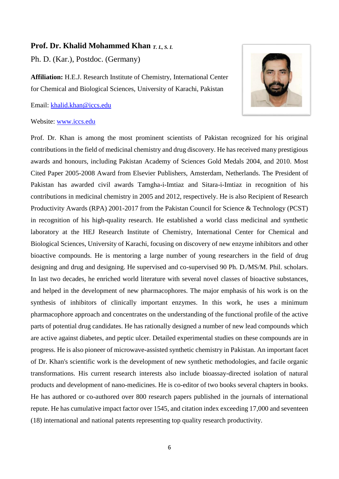#### **Prof. Dr. Khalid Mohammed Khan** *T. I., S. I.*

Ph. D. (Kar.), Postdoc. (Germany)

**Affiliation:** H.E.J. Research Institute of Chemistry, International Center for Chemical and Biological Sciences, University of Karachi, Pakistan

Email: [khalid.khan@iccs.edu](mailto:khalid.khan@iccs.edu)



#### Website: [www.iccs.edu](http://www.iccs.edu/)

Prof. Dr. Khan is among the most prominent scientists of Pakistan recognized for his original contributions in the field of medicinal chemistry and drug discovery. He has received many prestigious awards and honours, including Pakistan Academy of Sciences Gold Medals 2004, and 2010. Most Cited Paper 2005-2008 Award from Elsevier Publishers, [Amsterdam, Netherlands.](https://en.wikipedia.org/wiki/Amsterdam) The President of Pakistan has awarded civil awards Tamgha-i-Imtiaz and Sitara-i-Imtiaz in recognition of his contributions in medicinal chemistry in 2005 and 2012, respectively. He is also Recipient of Research Productivity Awards (RPA) 2001-2017 from the Pakistan Council for Science & Technology (PCST) in recognition of his high-quality research. He established a world class medicinal and synthetic laboratory at the HEJ Research Institute of Chemistry, International Center for Chemical and Biological Sciences, University of Karachi, focusing on discovery of new enzyme inhibitors and other bioactive compounds. He is mentoring a large number of young researchers in the field of drug designing and drug and designing. He supervised and co-supervised 90 Ph. D./MS/M. Phil. scholars. In last two decades, he enriched world literature with several novel classes of bioactive substances, and helped in the development of new pharmacophores. The major emphasis of his work is on the synthesis of inhibitors of clinically important enzymes. In this work, he uses a minimum pharmacophore approach and concentrates on the understanding of the functional profile of the active parts of potential drug candidates. He has rationally designed a number of new lead compounds which are active against diabetes, and peptic ulcer. Detailed experimental studies on these compounds are in progress. He is also pioneer of microwave-assisted synthetic chemistry in Pakistan. An important facet of Dr. Khan's scientific work is the development of new synthetic methodologies, and facile organic transformations. His current research interests also include bioassay-directed isolation of natural products and development of nano-medicines. He is co-editor of two books several chapters in books. He has authored or co-authored over 800 research papers published in the journals of international repute. He has cumulative impact factor over 1545, and citation index exceeding 17,000 and seventeen (18) international and national patents representing top quality research productivity.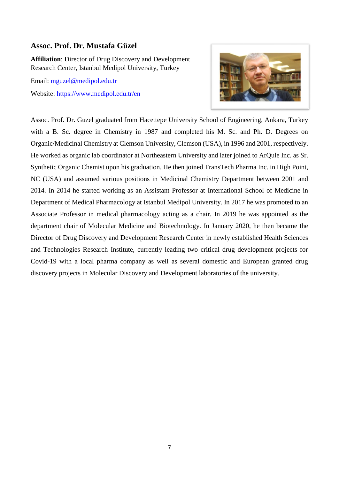### **Assoc. Prof. Dr. Mustafa Güzel**

**Affiliation**: Director of Drug Discovery and Development Research Center, Istanbul Medipol University, Turkey

Email: [mguzel@medipol.edu.tr](mailto:mguzel@medipol.edu.tr)

Website:<https://www.medipol.edu.tr/en>



Assoc. Prof. Dr. Guzel graduated from Hacettepe University School of Engineering, Ankara, Turkey with a B. Sc. degree in Chemistry in 1987 and completed his M. Sc. and Ph. D. Degrees on Organic/Medicinal Chemistry at Clemson University, Clemson (USA), in 1996 and 2001, respectively. He worked as organic lab coordinator at Northeastern University and later joined to ArQule Inc. as Sr. Synthetic Organic Chemist upon his graduation. He then joined TransTech Pharma Inc. in High Point, NC (USA) and assumed various positions in Medicinal Chemistry Department between 2001 and 2014. In 2014 he started working as an Assistant Professor at International School of Medicine in Department of Medical Pharmacology at Istanbul Medipol University. In 2017 he was promoted to an Associate Professor in medical pharmacology acting as a chair. In 2019 he was appointed as the department chair of Molecular Medicine and Biotechnology. In January 2020, he then became the Director of Drug Discovery and Development Research Center in newly established Health Sciences and Technologies Research Institute, currently leading two critical drug development projects for Covid-19 with a local pharma company as well as several domestic and European granted drug discovery projects in Molecular Discovery and Development laboratories of the university.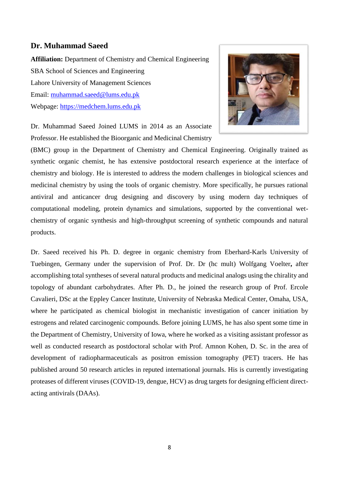#### **Dr. Muhammad Saeed**

**Affiliation:** Department of Chemistry and Chemical Engineering SBA School of Sciences and Engineering Lahore University of Management Sciences Email: [muhammad.saeed@lums.edu.pk](mailto:muhammad.saeed@lums.edu.pk) Webpage: [https://medchem.lums.edu.pk](https://medchem.lums.edu.pk/)



Dr. Muhammad Saeed Joined LUMS in 2014 as an Associate Professor. He established the Bioorganic and Medicinal Chemistry

(BMC) group in the Department of Chemistry and Chemical Engineering. Originally trained as synthetic organic chemist, he has extensive postdoctoral research experience at the interface of chemistry and biology. He is interested to address the modern challenges in biological sciences and medicinal chemistry by using the tools of organic chemistry. More specifically, he pursues rational antiviral and anticancer drug designing and discovery by using modern day techniques of computational modeling, protein dynamics and simulations, supported by the conventional wetchemistry of organic synthesis and high-throughput screening of synthetic compounds and natural products.

Dr. Saeed received his Ph. D. degree in organic chemistry from Eberhard-Karls University of Tuebingen, Germany under the supervision of Prof. Dr. Dr (hc mult) Wolfgang Voelter**,** after accomplishing total syntheses of several natural products and medicinal analogs using the chirality and topology of abundant carbohydrates. After Ph. D., he joined the research group of Prof. Ercole Cavalieri, DSc at the Eppley Cancer Institute, University of Nebraska Medical Center, Omaha, USA, where he participated as chemical biologist in mechanistic investigation of cancer initiation by estrogens and related carcinogenic compounds. Before joining LUMS, he has also spent some time in the Department of Chemistry, University of Iowa, where he worked as a visiting assistant professor as well as conducted research as postdoctoral scholar with Prof. Amnon Kohen, D. Sc. in the area of development of radiopharmaceuticals as positron emission tomography (PET) tracers. He has published around 50 research articles in reputed international journals. His is currently investigating proteases of different viruses (COVID-19, dengue, HCV) as drug targets for designing efficient directacting antivirals (DAAs).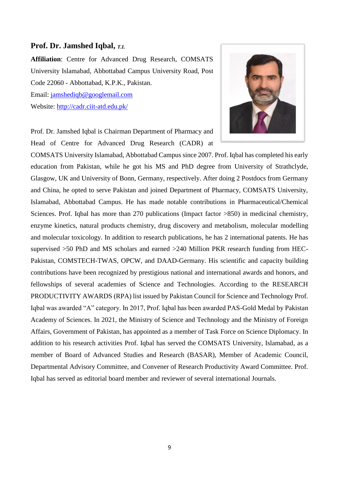#### **Prof. Dr. Jamshed Iqbal,** *T.I.*

**Affiliation**: Centre for Advanced Drug Research, COMSATS University Islamabad, Abbottabad Campus University Road, Post Code 22060 - Abbottabad, K.P.K., Pakistan. Email: [jamshediqb@googlemail.com](mailto:jamshediqb@googlemail.com)

Website:<http://cadr.ciit-atd.edu.pk/>



Prof. Dr. Jamshed Iqbal is Chairman Department of Pharmacy and Head of Centre for Advanced Drug Research (CADR) at

COMSATS University Islamabad, Abbottabad Campus since 2007. Prof. Iqbal has completed his early education from Pakistan, while he got his MS and PhD degree from University of Strathclyde, Glasgow, UK and University of Bonn, Germany, respectively. After doing 2 Postdocs from Germany and China, he opted to serve Pakistan and joined Department of Pharmacy, COMSATS University, Islamabad, Abbottabad Campus. He has made notable contributions in Pharmaceutical/Chemical Sciences. Prof. Iqbal has more than 270 publications (Impact factor >850) in medicinal chemistry, enzyme kinetics, natural products chemistry, drug discovery and metabolism, molecular modelling and molecular toxicology. In addition to research publications, he has 2 international patents. He has supervised >50 PhD and MS scholars and earned >240 Million PKR research funding from HEC-Pakistan, COMSTECH-TWAS, OPCW, and DAAD-Germany. His scientific and capacity building contributions have been recognized by prestigious national and international awards and honors, and fellowships of several academies of Science and Technologies. According to the RESEARCH PRODUCTIVITY AWARDS (RPA) list issued by Pakistan Council for Science and Technology Prof. Iqbal was awarded "A" category. In 2017, Prof. Iqbal has been awarded PAS-Gold Medal by Pakistan Academy of Sciences. In 2021, the Ministry of Science and Technology and the Ministry of Foreign Affairs, Government of Pakistan, has appointed as a member of Task Force on Science Diplomacy. In addition to his research activities Prof. Iqbal has served the COMSATS University, Islamabad, as a member of Board of Advanced Studies and Research (BASAR), Member of Academic Council, Departmental Advisory Committee, and Convener of Research Productivity Award Committee. Prof. Iqbal has served as editorial board member and reviewer of several international Journals.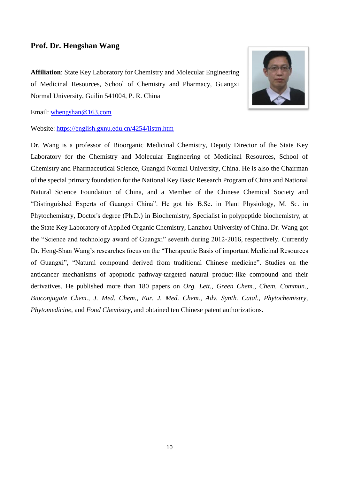### **Prof. Dr. Hengshan Wang**

**Affiliation**: State Key Laboratory for Chemistry and Molecular Engineering of Medicinal Resources, School of Chemistry and Pharmacy, Guangxi Normal University, Guilin 541004, P. R. China



Email: [whengshan@163.com](mailto:whengshan@163.com)

Website: <https://english.gxnu.edu.cn/4254/listm.htm>

Dr. Wang is a professor of Bioorganic Medicinal Chemistry, Deputy Director of the State Key Laboratory for the Chemistry and Molecular Engineering of Medicinal Resources, School of Chemistry and Pharmaceutical Science, Guangxi Normal University, China. He is also the Chairman of the special primary foundation for the National Key Basic Research Program of China and National Natural Science Foundation of China, and a Member of the Chinese Chemical Society and "Distinguished Experts of Guangxi China". He got his B.Sc. in Plant Physiology, M. Sc. in Phytochemistry, Doctor's degree (Ph.D.) in Biochemistry, Specialist in polypeptide biochemistry, at the State Key Laboratory of Applied Organic Chemistry, Lanzhou University of China. Dr. Wang got the "Science and technology award of Guangxi" seventh during 2012-2016, respectively. Currently Dr. Heng-Shan Wang's researches focus on the "Therapeutic Basis of important Medicinal Resources of Guangxi", "Natural compound derived from traditional Chinese medicine". Studies on the anticancer mechanisms of apoptotic pathway-targeted natural product-like compound and their derivatives. He published more than 180 papers on *Org. Lett., Green Chem., Chem. Commun., Bioconjugate Chem., J. Med. Chem., Eur. J. Med. Chem., Adv. Synth. Catal., Phytochemistry, Phytomedicine,* and *Food Chemistry*, and obtained ten Chinese patent authorizations.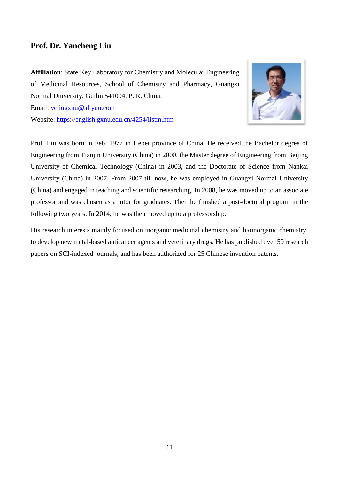### **Prof. Dr. Yancheng Liu**

**Affiliation**: State Key Laboratory for Chemistry and Molecular Engineering of Medicinal Resources, School of Chemistry and Pharmacy, Guangxi Normal University, Guilin 541004, P. R. China.





Prof. Liu was born in Feb. 1977 in Hebei province of China. He received the Bachelor degree of Engineering from Tianjin University (China) in 2000, the Master degree of Engineering from Beijing University of Chemical Technology (China) in 2003, and the Doctorate of Science from Nankai University (China) in 2007. From 2007 till now, he was employed in Guangxi Normal University (China) and engaged in teaching and scientific researching. In 2008, he was moved up to an associate professor and was chosen as a tutor for graduates. Then he finished a post-doctoral program in the following two years. In 2014, he was then moved up to a professorship.

His research interests mainly focused on inorganic medicinal chemistry and bioinorganic chemistry, to develop new metal-based anticancer agents and veterinary drugs. He has published over 50 research papers on SCI-indexed journals, and has been authorized for 25 Chinese invention patents.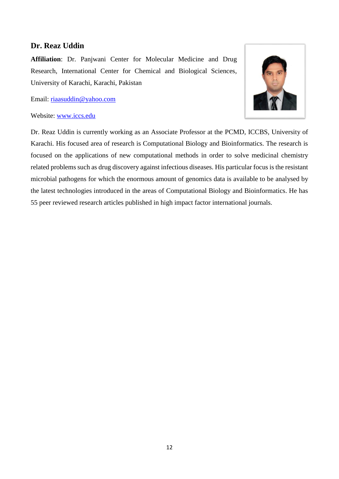### **Dr. Reaz Uddin**

**Affiliation**: Dr. Panjwani Center for Molecular Medicine and Drug Research, International Center for Chemical and Biological Sciences, University of Karachi, Karachi, Pakistan

Email: [riaasuddin@yahoo.com](mailto:riaasuddin@yahoo.com)

#### Website: [www.iccs.edu](http://www.iccs.edu/)

Dr. Reaz Uddin is currently working as an Associate Professor at the PCMD, ICCBS, University of Karachi. His focused area of research is Computational Biology and Bioinformatics. The research is focused on the applications of new computational methods in order to solve medicinal chemistry related problems such as drug discovery against infectious diseases. His particular focus is the resistant microbial pathogens for which the enormous amount of genomics data is available to be analysed by the latest technologies introduced in the areas of Computational Biology and Bioinformatics. He has 55 peer reviewed research articles published in high impact factor international journals.